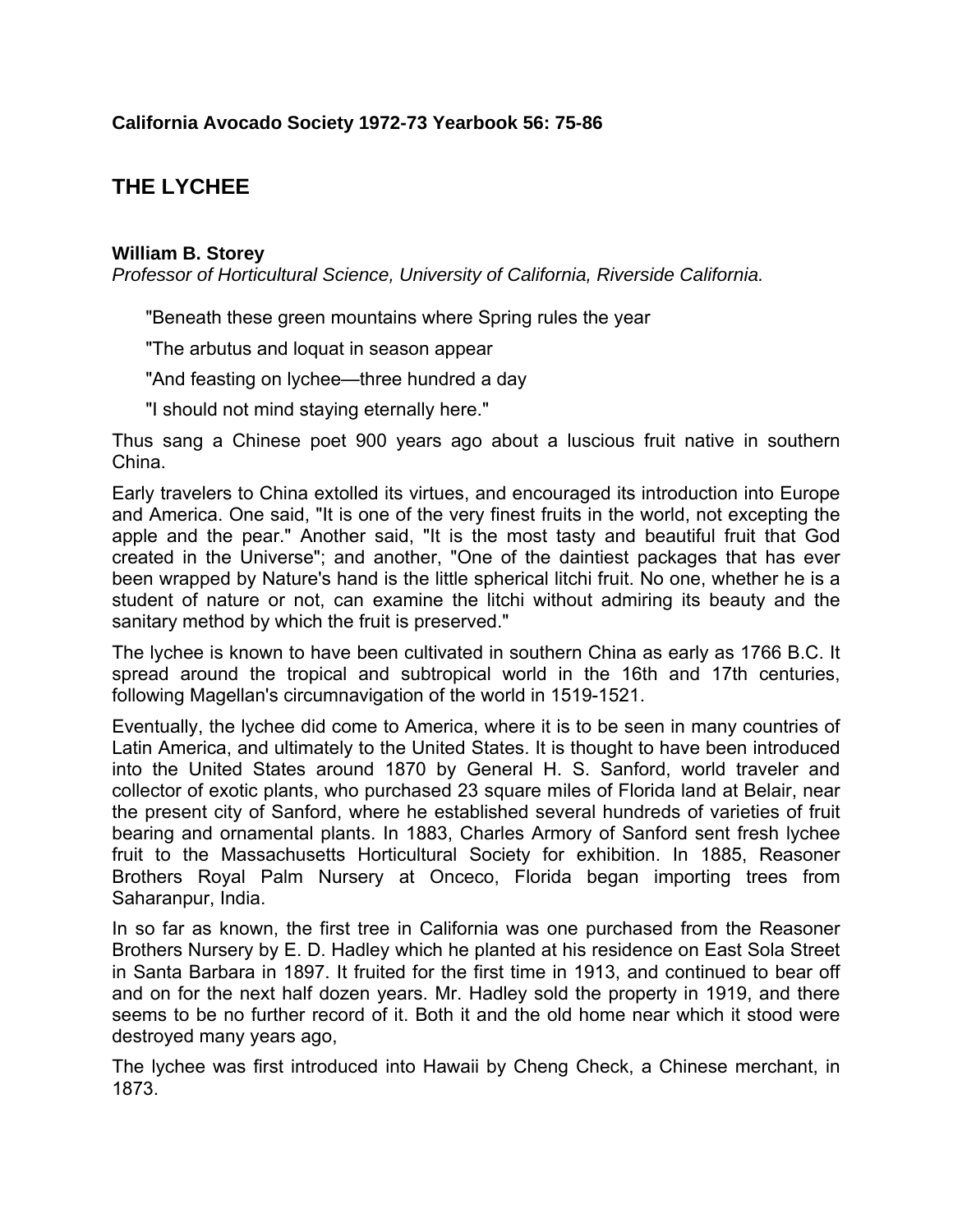# **THE LYCHEE**

## **William B. Storey**

*Professor of Horticultural Science, University of California, Riverside California.*

"Beneath these green mountains where Spring rules the year

"The arbutus and loquat in season appear

"And feasting on lychee—three hundred a day

"I should not mind staying eternally here."

Thus sang a Chinese poet 900 years ago about a luscious fruit native in southern China.

Early travelers to China extolled its virtues, and encouraged its introduction into Europe and America. One said, "It is one of the very finest fruits in the world, not excepting the apple and the pear." Another said, "It is the most tasty and beautiful fruit that God created in the Universe"; and another, "One of the daintiest packages that has ever been wrapped by Nature's hand is the little spherical litchi fruit. No one, whether he is a student of nature or not, can examine the litchi without admiring its beauty and the sanitary method by which the fruit is preserved."

The lychee is known to have been cultivated in southern China as early as 1766 B.C. It spread around the tropical and subtropical world in the 16th and 17th centuries, following Magellan's circumnavigation of the world in 1519-1521.

Eventually, the lychee did come to America, where it is to be seen in many countries of Latin America, and ultimately to the United States. It is thought to have been introduced into the United States around 1870 by General H. S. Sanford, world traveler and collector of exotic plants, who purchased 23 square miles of Florida land at Belair, near the present city of Sanford, where he established several hundreds of varieties of fruit bearing and ornamental plants. In 1883, Charles Armory of Sanford sent fresh lychee fruit to the Massachusetts Horticultural Society for exhibition. In 1885, Reasoner Brothers Royal Palm Nursery at Onceco, Florida began importing trees from Saharanpur, India.

In so far as known, the first tree in California was one purchased from the Reasoner Brothers Nursery by E. D. Hadley which he planted at his residence on East Sola Street in Santa Barbara in 1897. It fruited for the first time in 1913, and continued to bear off and on for the next half dozen years. Mr. Hadley sold the property in 1919, and there seems to be no further record of it. Both it and the old home near which it stood were destroyed many years ago,

The lychee was first introduced into Hawaii by Cheng Check, a Chinese merchant, in 1873.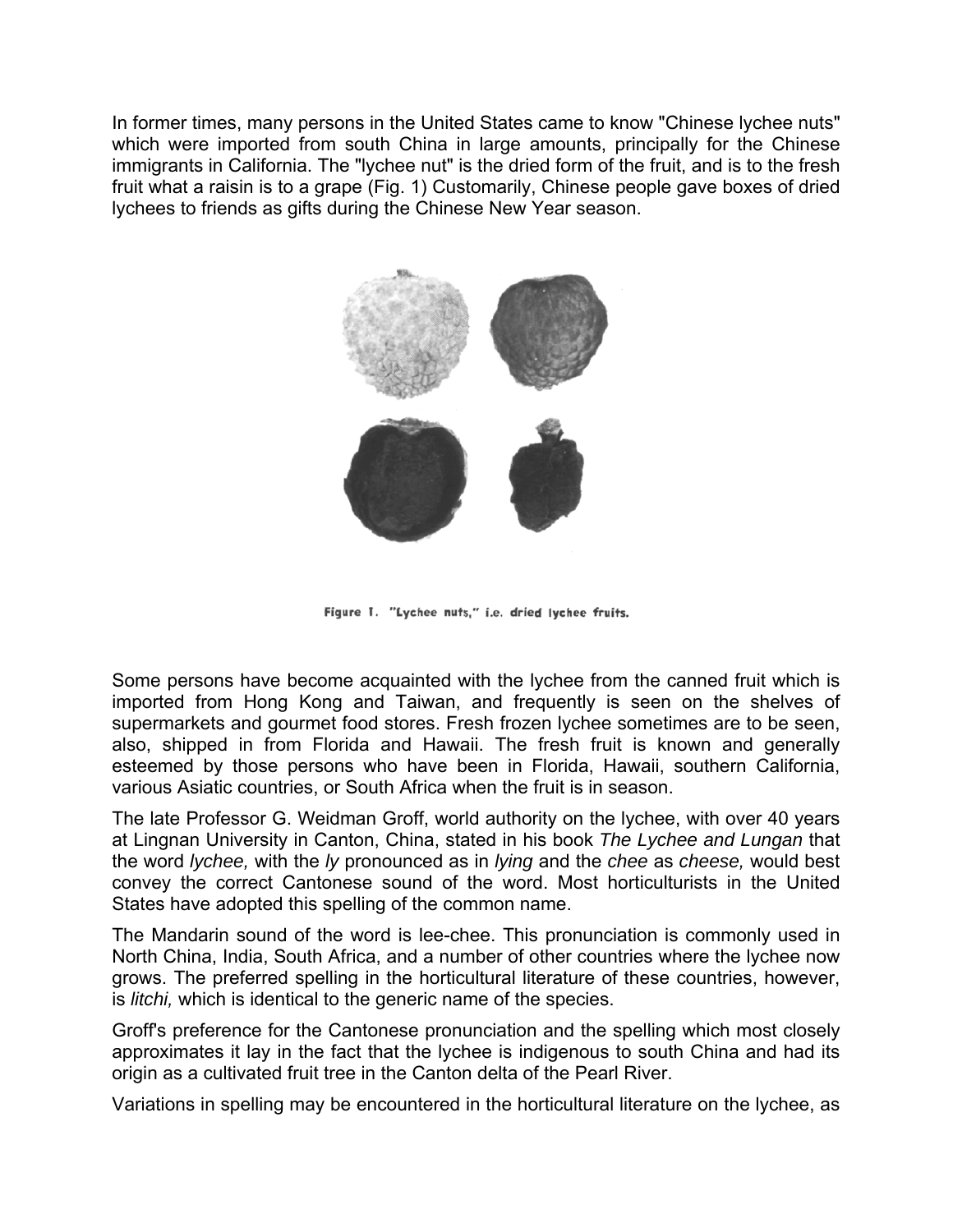In former times, many persons in the United States came to know "Chinese lychee nuts" which were imported from south China in large amounts, principally for the Chinese immigrants in California. The "lychee nut" is the dried form of the fruit, and is to the fresh fruit what a raisin is to a grape (Fig. 1) Customarily, Chinese people gave boxes of dried lychees to friends as gifts during the Chinese New Year season.



Figure 1. "Lychee nuts," i.e. dried lychee fruits.

Some persons have become acquainted with the lychee from the canned fruit which is imported from Hong Kong and Taiwan, and frequently is seen on the shelves of supermarkets and gourmet food stores. Fresh frozen lychee sometimes are to be seen, also, shipped in from Florida and Hawaii. The fresh fruit is known and generally esteemed by those persons who have been in Florida, Hawaii, southern California, various Asiatic countries, or South Africa when the fruit is in season.

The late Professor G. Weidman Groff, world authority on the lychee, with over 40 years at Lingnan University in Canton, China, stated in his book *The Lychee and Lungan* that the word *lychee,* with the *ly* pronounced as in *lying* and the *chee* as *cheese,* would best convey the correct Cantonese sound of the word. Most horticulturists in the United States have adopted this spelling of the common name.

The Mandarin sound of the word is lee-chee. This pronunciation is commonly used in North China, India, South Africa, and a number of other countries where the lychee now grows. The preferred spelling in the horticultural literature of these countries, however, is *litchi,* which is identical to the generic name of the species.

Groff's preference for the Cantonese pronunciation and the spelling which most closely approximates it lay in the fact that the lychee is indigenous to south China and had its origin as a cultivated fruit tree in the Canton delta of the Pearl River.

Variations in spelling may be encountered in the horticultural literature on the lychee, as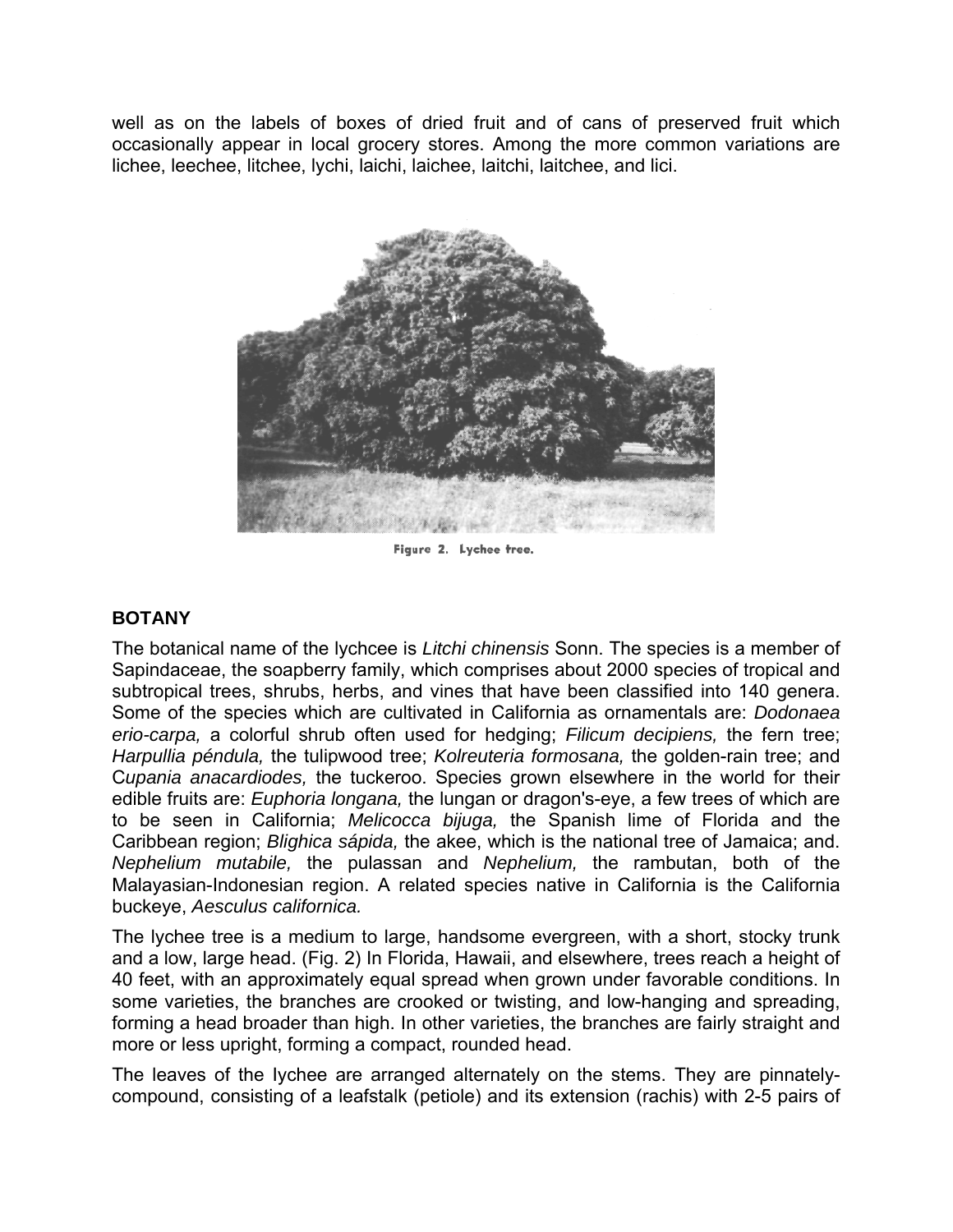well as on the labels of boxes of dried fruit and of cans of preserved fruit which occasionally appear in local grocery stores. Among the more common variations are lichee, leechee, litchee, lychi, laichi, laichee, laitchi, laitchee, and lici.



Figure 2. Lychee tree.

## **BOTANY**

The botanical name of the lychcee is *Litchi chinensis* Sonn. The species is a member of Sapindaceae, the soapberry family, which comprises about 2000 species of tropical and subtropical trees, shrubs, herbs, and vines that have been classified into 140 genera. Some of the species which are cultivated in California as ornamentals are: *Dodonaea erio-carpa,* a colorful shrub often used for hedging; *Filicum decipiens,* the fern tree; *Harpullia péndula,* the tulipwood tree; *Kolreuteria formosana,* the golden-rain tree; and C*upania anacardiodes,* the tuckeroo. Species grown elsewhere in the world for their edible fruits are: *Euphoria longana,* the lungan or dragon's-eye, a few trees of which are to be seen in California; *Melicocca bijuga,* the Spanish lime of Florida and the Caribbean region; *Blighica sápida,* the akee, which is the national tree of Jamaica; and. *Nephelium mutabile,* the pulassan and *Nephelium,* the rambutan, both of the Malayasian-Indonesian region. A related species native in California is the California buckeye, *Aesculus californica.*

The lychee tree is a medium to large, handsome evergreen, with a short, stocky trunk and a low, large head. (Fig. 2) In Florida, Hawaii, and elsewhere, trees reach a height of 40 feet, with an approximately equal spread when grown under favorable conditions. In some varieties, the branches are crooked or twisting, and low-hanging and spreading, forming a head broader than high. In other varieties, the branches are fairly straight and more or less upright, forming a compact, rounded head.

The leaves of the Iychee are arranged alternately on the stems. They are pinnatelycompound, consisting of a leafstalk (petiole) and its extension (rachis) with 2-5 pairs of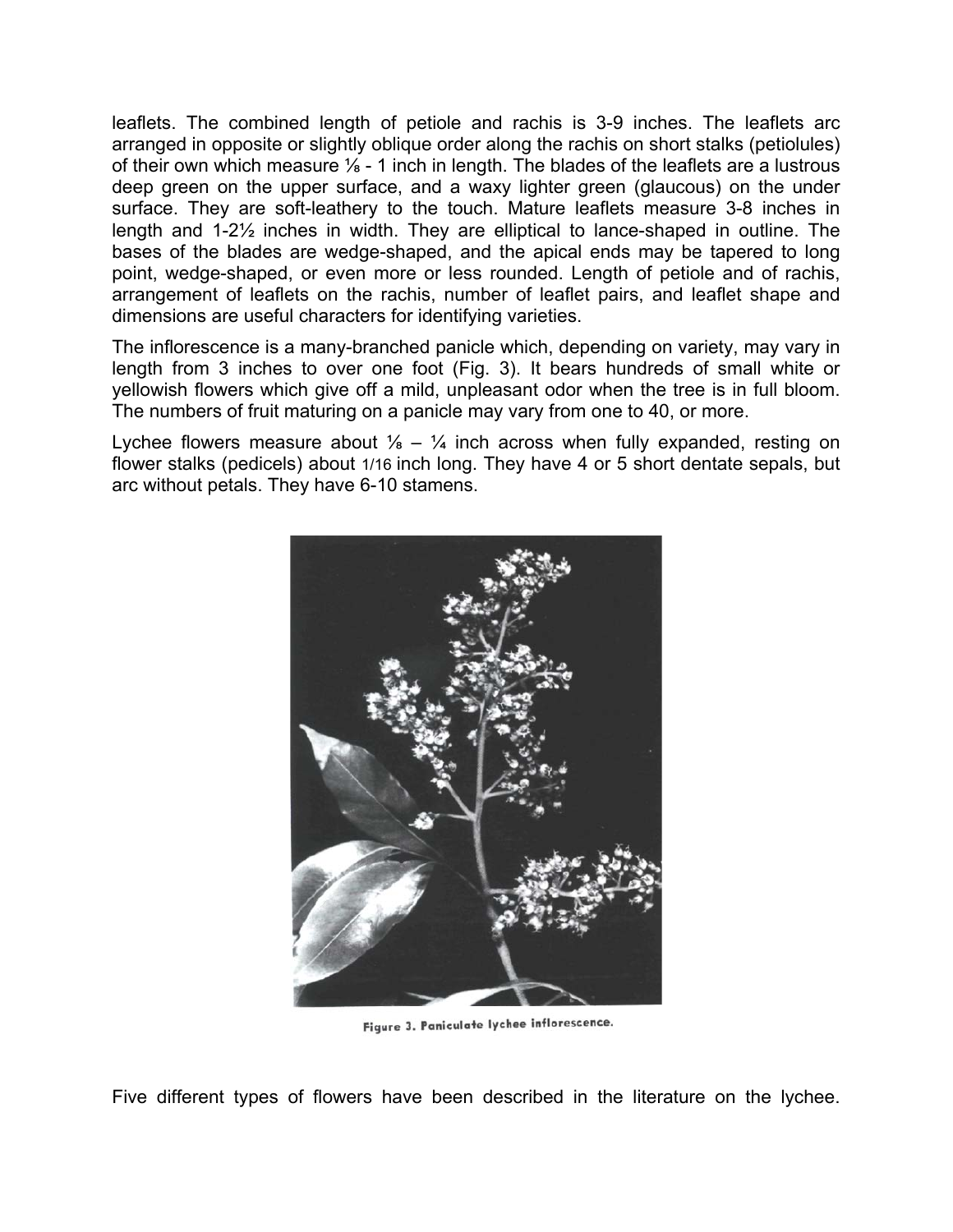leaflets. The combined length of petiole and rachis is 3-9 inches. The leaflets arc arranged in opposite or slightly oblique order along the rachis on short stalks (petiolules) of their own which measure  $\frac{1}{8}$  - 1 inch in length. The blades of the leaflets are a lustrous deep green on the upper surface, and a waxy lighter green (glaucous) on the under surface. They are soft-leathery to the touch. Mature leaflets measure 3-8 inches in length and 1-2½ inches in width. They are elliptical to lance-shaped in outline. The bases of the blades are wedge-shaped, and the apical ends may be tapered to long point, wedge-shaped, or even more or less rounded. Length of petiole and of rachis, arrangement of leaflets on the rachis, number of leaflet pairs, and leaflet shape and dimensions are useful characters for identifying varieties.

The inflorescence is a many-branched panicle which, depending on variety, may vary in length from 3 inches to over one foot (Fig. 3). It bears hundreds of small white or yellowish flowers which give off a mild, unpleasant odor when the tree is in full bloom. The numbers of fruit maturing on a panicle may vary from one to 40, or more.

Lychee flowers measure about  $\frac{1}{8} - \frac{1}{4}$  inch across when fully expanded, resting on flower stalks (pedicels) about 1/16 inch long. They have 4 or 5 short dentate sepals, but arc without petals. They have 6-10 stamens.



Figure 3. Paniculate lychee inflorescence.

Five different types of flowers have been described in the literature on the lychee.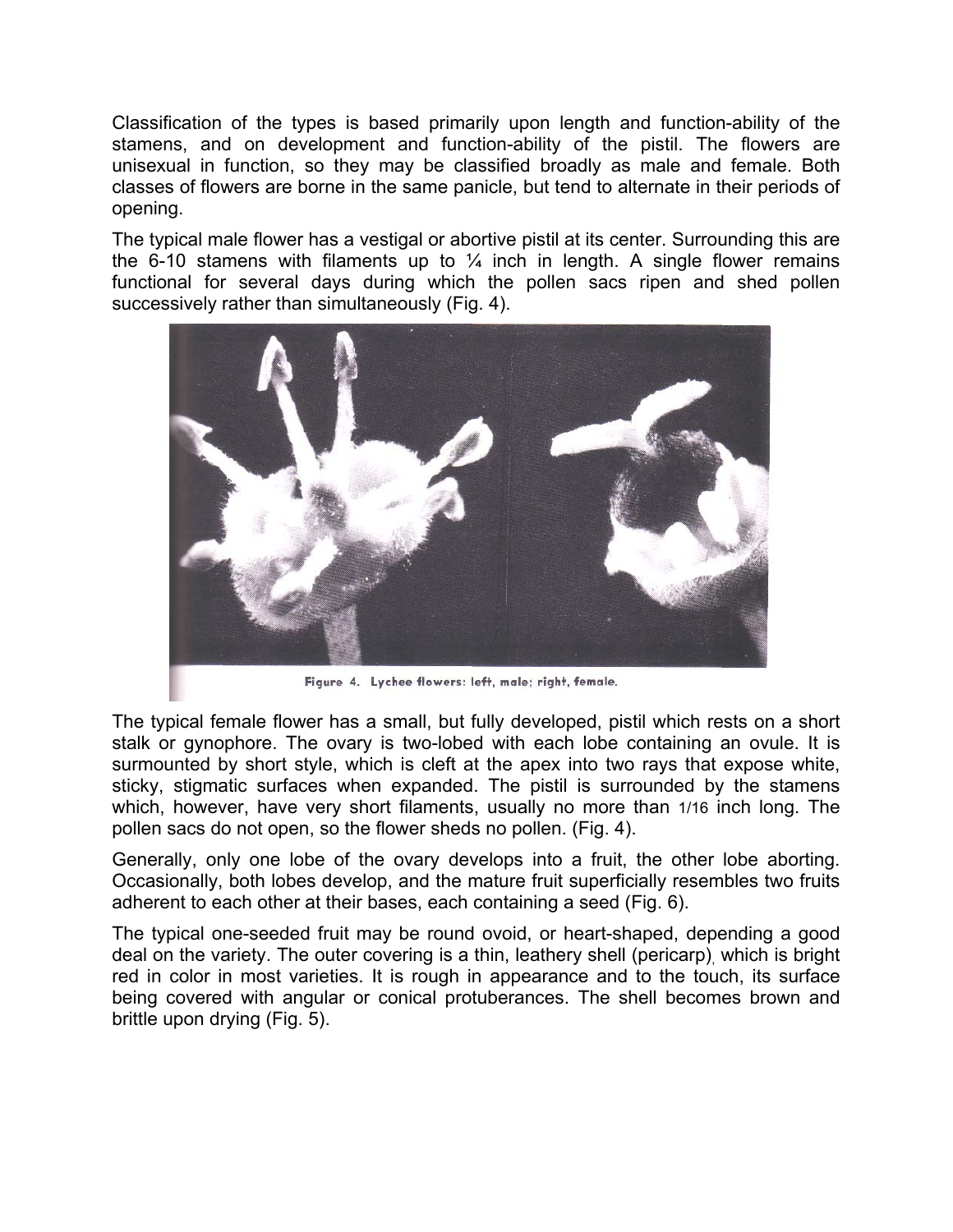Classification of the types is based primarily upon length and function-ability of the stamens, and on development and function-ability of the pistil. The flowers are unisexual in function, so they may be classified broadly as male and female. Both classes of flowers are borne in the same panicle, but tend to alternate in their periods of opening.

The typical male flower has a vestigal or abortive pistil at its center. Surrounding this are the 6-10 stamens with filaments up to  $\frac{1}{4}$  inch in length. A single flower remains functional for several days during which the pollen sacs ripen and shed pollen successively rather than simultaneously (Fig. 4).



Figure 4. Lychee flowers: left, male; right, female.

The typical female flower has a small, but fully developed, pistil which rests on a short stalk or gynophore. The ovary is two-lobed with each lobe containing an ovule. It is surmounted by short style, which is cleft at the apex into two rays that expose white, sticky, stigmatic surfaces when expanded. The pistil is surrounded by the stamens which, however, have very short filaments, usually no more than 1/16 inch long. The pollen sacs do not open, so the flower sheds no pollen. (Fig. 4).

Generally, only one lobe of the ovary develops into a fruit, the other lobe aborting. Occasionally, both lobes develop, and the mature fruit superficially resembles two fruits adherent to each other at their bases, each containing a seed (Fig. 6).

The typical one-seeded fruit may be round ovoid, or heart-shaped, depending a good deal on the variety. The outer covering is a thin, leathery shell (pericarp), which is bright red in color in most varieties. It is rough in appearance and to the touch, its surface being covered with angular or conical protuberances. The shell becomes brown and brittle upon drying (Fig. 5).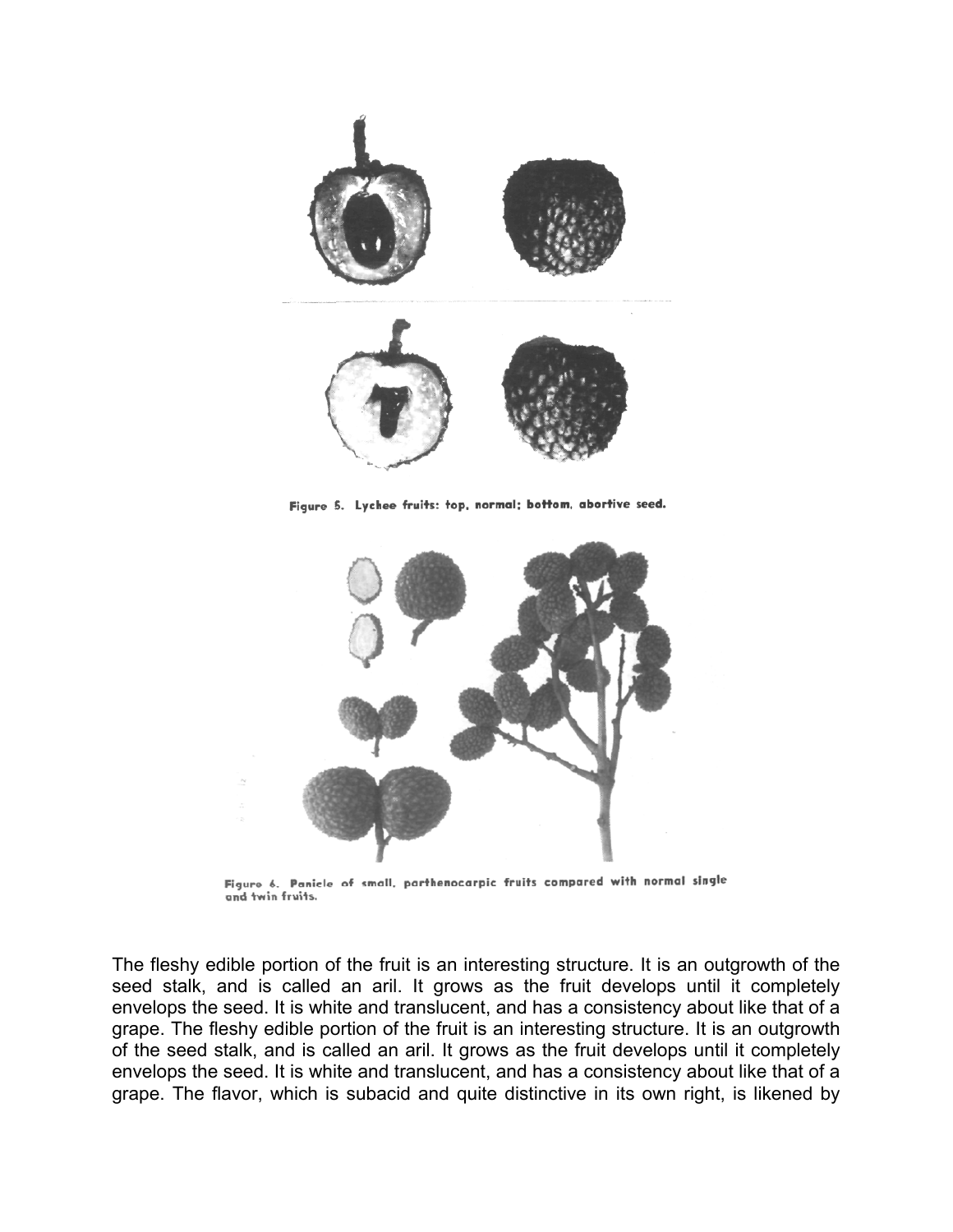

Figure 5. Lychee fruits: top, normal; bottom, abortive seed.



Figure 6. Panicle of small, parthenocarpic fruits compared with normal single and twin fruits.

The fleshy edible portion of the fruit is an interesting structure. It is an outgrowth of the seed stalk, and is called an aril. It grows as the fruit develops until it completely envelops the seed. It is white and translucent, and has a consistency about like that of a grape. The fleshy edible portion of the fruit is an interesting structure. It is an outgrowth of the seed stalk, and is called an aril. It grows as the fruit develops until it completely envelops the seed. It is white and translucent, and has a consistency about like that of a grape. The flavor, which is subacid and quite distinctive in its own right, is likened by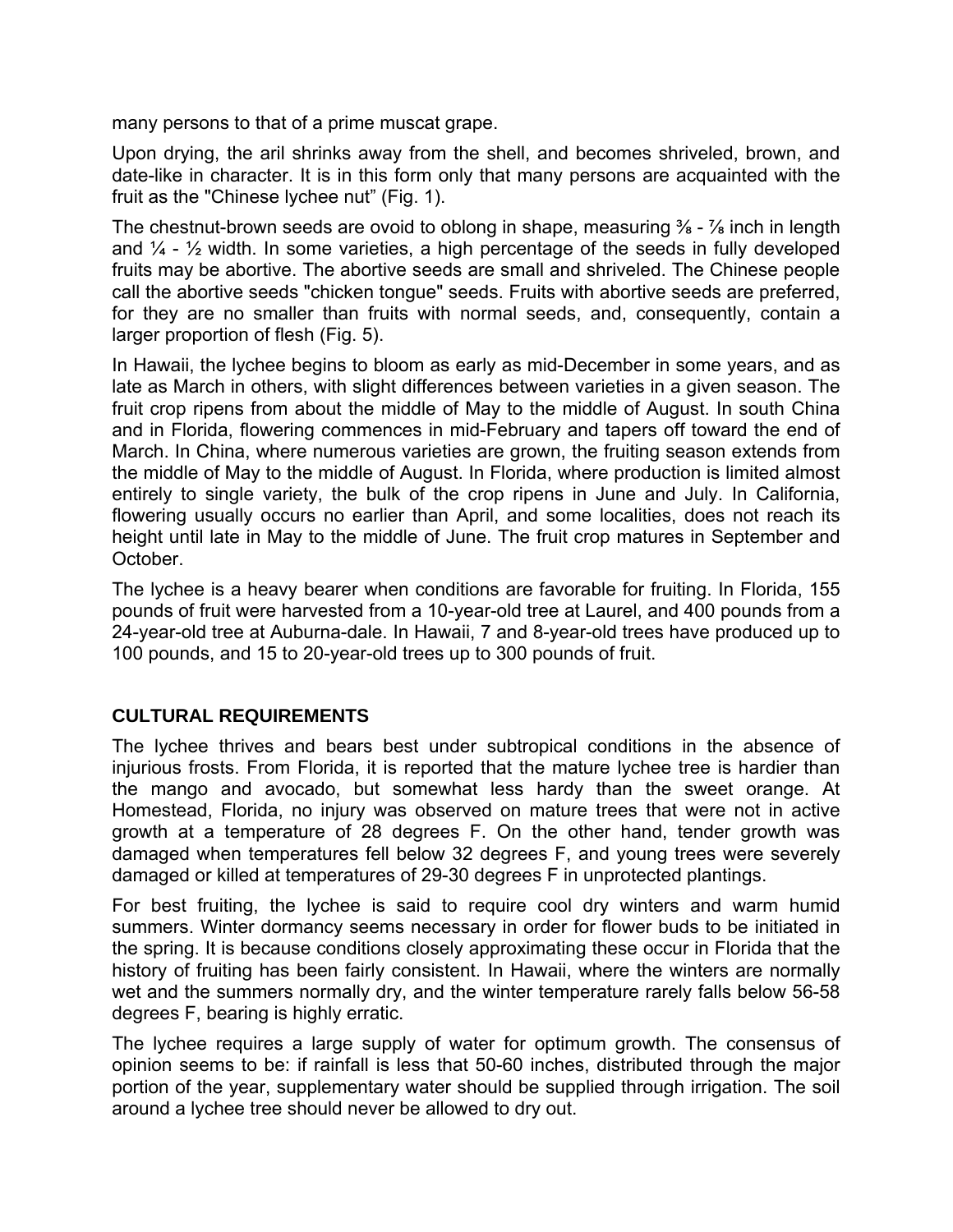many persons to that of a prime muscat grape.

Upon drying, the aril shrinks away from the shell, and becomes shriveled, brown, and date-like in character. It is in this form only that many persons are acquainted with the fruit as the "Chinese lychee nut" (Fig. 1).

The chestnut-brown seeds are ovoid to oblong in shape, measuring  $\frac{3}{8}$  -  $\frac{7}{8}$  inch in length and  $\frac{1}{4}$  -  $\frac{1}{2}$  width. In some varieties, a high percentage of the seeds in fully developed fruits may be abortive. The abortive seeds are small and shriveled. The Chinese people call the abortive seeds "chicken tongue" seeds. Fruits with abortive seeds are preferred, for they are no smaller than fruits with normal seeds, and, consequently, contain a larger proportion of flesh (Fig. 5).

In Hawaii, the lychee begins to bloom as early as mid-December in some years, and as late as March in others, with slight differences between varieties in a given season. The fruit crop ripens from about the middle of May to the middle of August. In south China and in Florida, flowering commences in mid-February and tapers off toward the end of March. In China, where numerous varieties are grown, the fruiting season extends from the middle of May to the middle of August. In Florida, where production is limited almost entirely to single variety, the bulk of the crop ripens in June and July. In California, flowering usually occurs no earlier than April, and some localities, does not reach its height until late in May to the middle of June. The fruit crop matures in September and October.

The lychee is a heavy bearer when conditions are favorable for fruiting. In Florida, 155 pounds of fruit were harvested from a 10-year-old tree at Laurel, and 400 pounds from a 24-year-old tree at Auburna-dale. In Hawaii, 7 and 8-year-old trees have produced up to 100 pounds, and 15 to 20-year-old trees up to 300 pounds of fruit.

## **CULTURAL REQUIREMENTS**

The lychee thrives and bears best under subtropical conditions in the absence of injurious frosts. From Florida, it is reported that the mature lychee tree is hardier than the mango and avocado, but somewhat less hardy than the sweet orange. At Homestead, Florida, no injury was observed on mature trees that were not in active growth at a temperature of 28 degrees F. On the other hand, tender growth was damaged when temperatures fell below 32 degrees F, and young trees were severely damaged or killed at temperatures of 29-30 degrees F in unprotected plantings.

For best fruiting, the lychee is said to require cool dry winters and warm humid summers. Winter dormancy seems necessary in order for flower buds to be initiated in the spring. It is because conditions closely approximating these occur in Florida that the history of fruiting has been fairly consistent. In Hawaii, where the winters are normally wet and the summers normally dry, and the winter temperature rarely falls below 56-58 degrees F, bearing is highly erratic.

The lychee requires a large supply of water for optimum growth. The consensus of opinion seems to be: if rainfall is less that 50-60 inches, distributed through the major portion of the year, supplementary water should be supplied through irrigation. The soil around a lychee tree should never be allowed to dry out.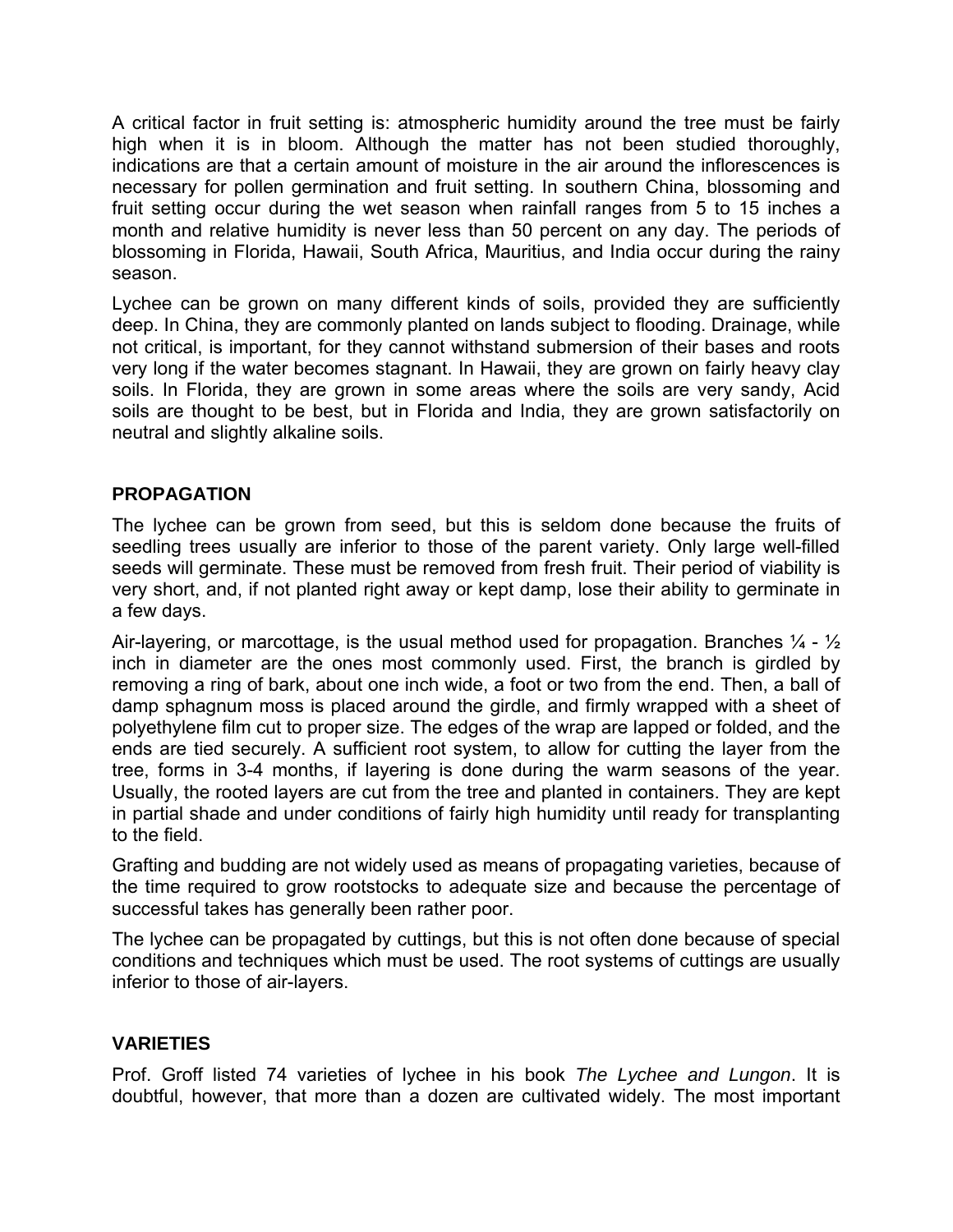A critical factor in fruit setting is: atmospheric humidity around the tree must be fairly high when it is in bloom. Although the matter has not been studied thoroughly, indications are that a certain amount of moisture in the air around the inflorescences is necessary for pollen germination and fruit setting. In southern China, blossoming and fruit setting occur during the wet season when rainfall ranges from 5 to 15 inches a month and relative humidity is never less than 50 percent on any day. The periods of blossoming in Florida, Hawaii, South Africa, Mauritius, and India occur during the rainy season.

Lychee can be grown on many different kinds of soils, provided they are sufficiently deep. In China, they are commonly planted on lands subject to flooding. Drainage, while not critical, is important, for they cannot withstand submersion of their bases and roots very long if the water becomes stagnant. In Hawaii, they are grown on fairly heavy clay soils. In Florida, they are grown in some areas where the soils are very sandy, Acid soils are thought to be best, but in Florida and India, they are grown satisfactorily on neutral and slightly alkaline soils.

## **PROPAGATION**

The lychee can be grown from seed, but this is seldom done because the fruits of seedling trees usually are inferior to those of the parent variety. Only large well-filled seeds will germinate. These must be removed from fresh fruit. Their period of viability is very short, and, if not planted right away or kept damp, lose their ability to germinate in a few days.

Air-layering, or marcottage, is the usual method used for propagation. Branches  $\frac{1}{4}$  -  $\frac{1}{2}$ inch in diameter are the ones most commonly used. First, the branch is girdled by removing a ring of bark, about one inch wide, a foot or two from the end. Then, a ball of damp sphagnum moss is placed around the girdle, and firmly wrapped with a sheet of polyethylene film cut to proper size. The edges of the wrap are lapped or folded, and the ends are tied securely. A sufficient root system, to allow for cutting the layer from the tree, forms in 3-4 months, if layering is done during the warm seasons of the year. Usually, the rooted layers are cut from the tree and planted in containers. They are kept in partial shade and under conditions of fairly high humidity until ready for transplanting to the field.

Grafting and budding are not widely used as means of propagating varieties, because of the time required to grow rootstocks to adequate size and because the percentage of successful takes has generally been rather poor.

The lychee can be propagated by cuttings, but this is not often done because of special conditions and techniques which must be used. The root systems of cuttings are usually inferior to those of air-layers.

## **VARIETIES**

Prof. Groff listed 74 varieties of lychee in his book *The Lychee and Lungon*. It is doubtful, however, that more than a dozen are cultivated widely. The most important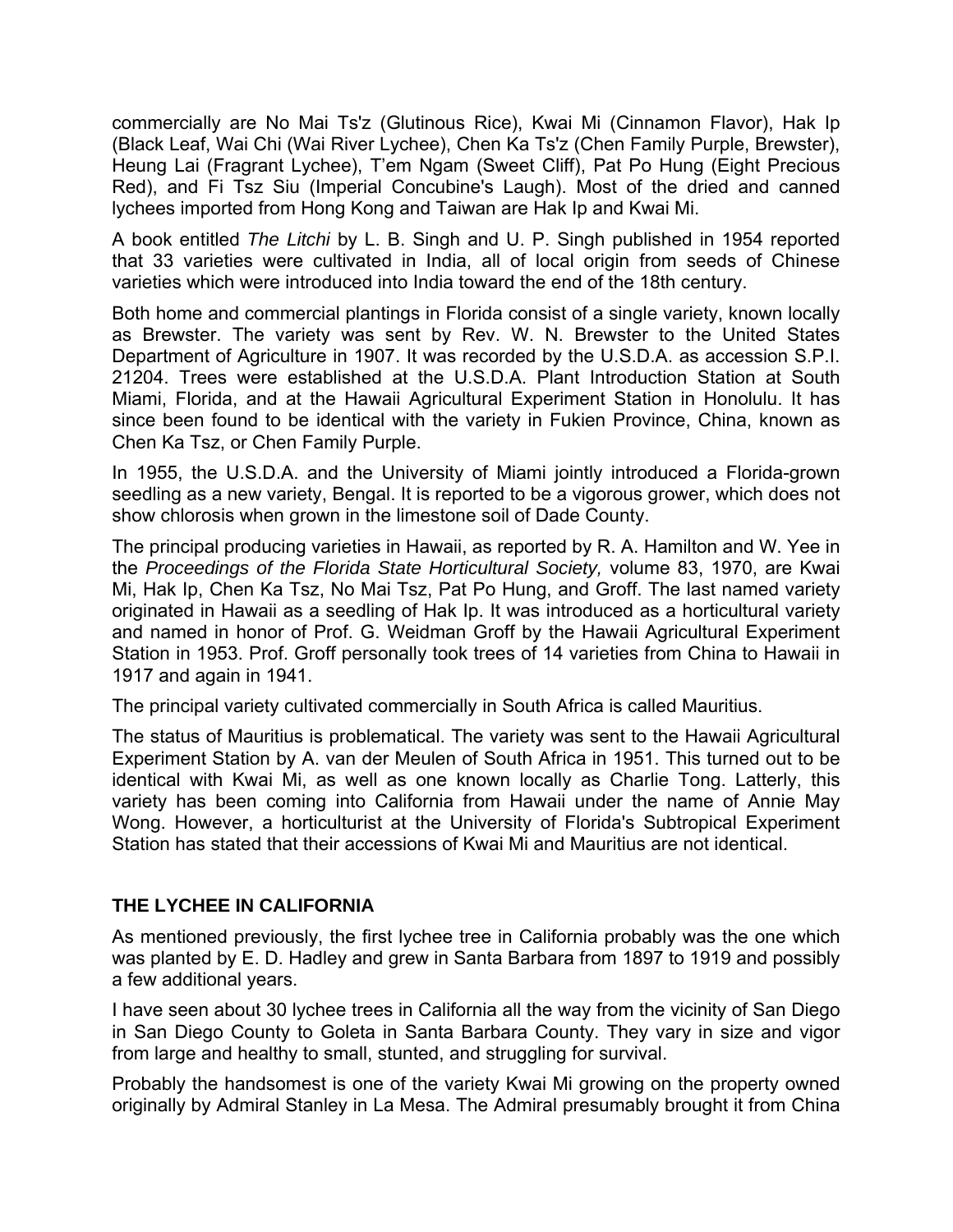commercially are No Mai Ts'z (Glutinous Rice), Kwai Mi (Cinnamon Flavor), Hak Ip (Black Leaf, Wai Chi (Wai River Lychee), Chen Ka Ts'z (Chen Family Purple, Brewster), Heung Lai (Fragrant Lychee), T'em Ngam (Sweet Cliff), Pat Po Hung (Eight Precious Red), and Fi Tsz Siu (Imperial Concubine's Laugh). Most of the dried and canned lychees imported from Hong Kong and Taiwan are Hak Ip and Kwai Mi.

A book entitled *The Litchi* by L. B. Singh and U. P. Singh published in 1954 reported that 33 varieties were cultivated in India, all of local origin from seeds of Chinese varieties which were introduced into India toward the end of the 18th century.

Both home and commercial plantings in Florida consist of a single variety, known locally as Brewster. The variety was sent by Rev. W. N. Brewster to the United States Department of Agriculture in 1907. It was recorded by the U.S.D.A. as accession S.P.I. 21204. Trees were established at the U.S.D.A. Plant Introduction Station at South Miami, Florida, and at the Hawaii Agricultural Experiment Station in Honolulu. It has since been found to be identical with the variety in Fukien Province, China, known as Chen Ka Tsz, or Chen Family Purple.

In 1955, the U.S.D.A. and the University of Miami jointly introduced a Florida-grown seedling as a new variety, Bengal. It is reported to be a vigorous grower, which does not show chlorosis when grown in the limestone soil of Dade County.

The principal producing varieties in Hawaii, as reported by R. A. Hamilton and W. Yee in the *Proceedings of the Florida State Horticultural Society,* volume 83, 1970, are Kwai Mi, Hak Ip, Chen Ka Tsz, No Mai Tsz, Pat Po Hung, and Groff. The last named variety originated in Hawaii as a seedling of Hak Ip. It was introduced as a horticultural variety and named in honor of Prof. G. Weidman Groff by the Hawaii Agricultural Experiment Station in 1953. Prof. Groff personally took trees of 14 varieties from China to Hawaii in 1917 and again in 1941.

The principal variety cultivated commercially in South Africa is called Mauritius.

The status of Mauritius is problematical. The variety was sent to the Hawaii Agricultural Experiment Station by A. van der Meulen of South Africa in 1951. This turned out to be identical with Kwai Mi, as well as one known locally as Charlie Tong. Latterly, this variety has been coming into California from Hawaii under the name of Annie May Wong. However, a horticulturist at the University of Florida's Subtropical Experiment Station has stated that their accessions of Kwai Mi and Mauritius are not identical.

## **THE LYCHEE IN CALIFORNIA**

As mentioned previously, the first lychee tree in California probably was the one which was planted by E. D. Hadley and grew in Santa Barbara from 1897 to 1919 and possibly a few additional years.

I have seen about 30 lychee trees in California all the way from the vicinity of San Diego in San Diego County to Goleta in Santa Barbara County. They vary in size and vigor from large and healthy to small, stunted, and struggling for survival.

Probably the handsomest is one of the variety Kwai Mi growing on the property owned originally by Admiral Stanley in La Mesa. The Admiral presumably brought it from China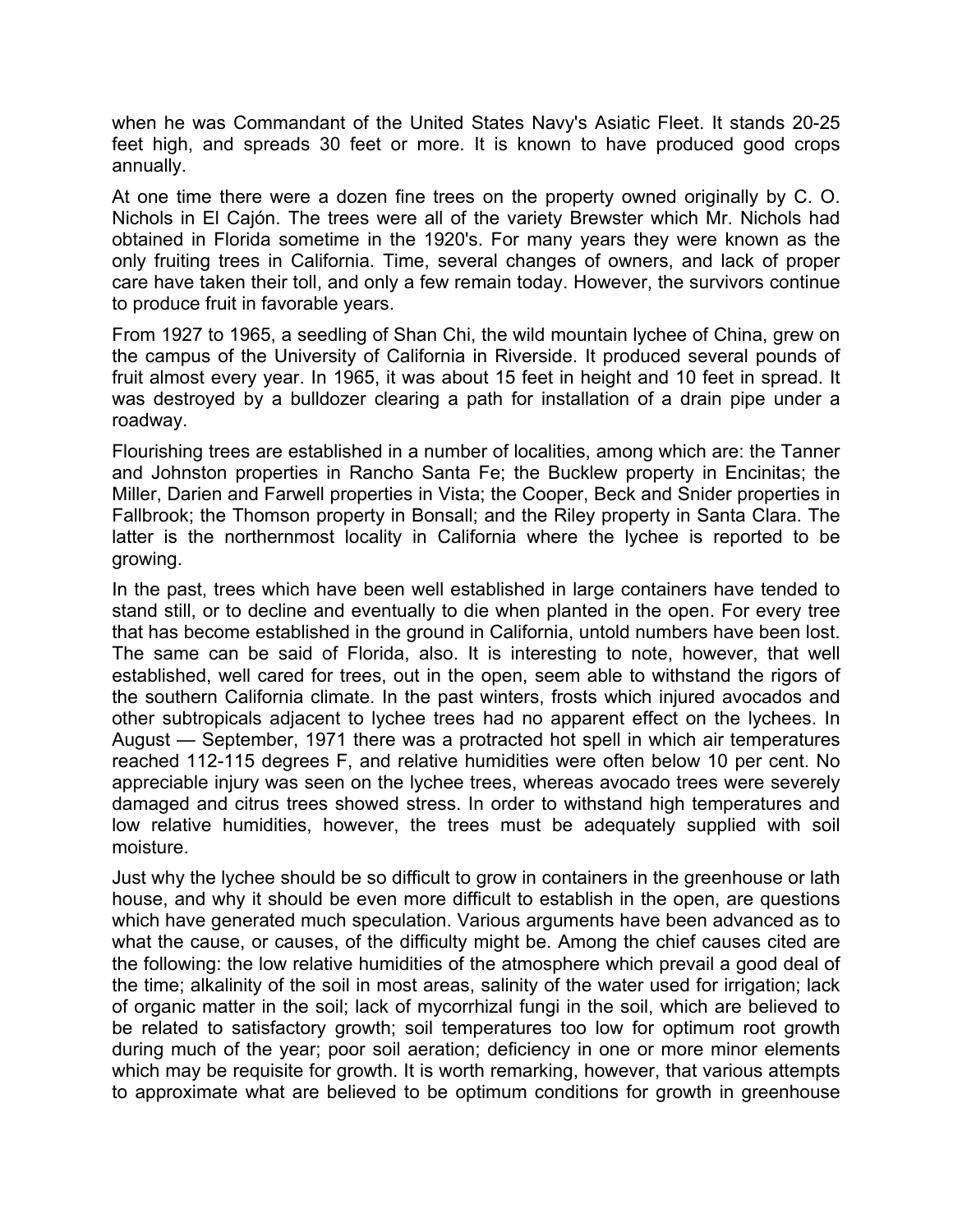when he was Commandant of the United States Navy's Asiatic Fleet. It stands 20-25 feet high, and spreads 30 feet or more. It is known to have produced good crops annually.

At one time there were a dozen fine trees on the property owned originally by C. O. Nichols in El Cajón. The trees were all of the variety Brewster which Mr. Nichols had obtained in Florida sometime in the 1920's. For many years they were known as the only fruiting trees in California. Time, several changes of owners, and lack of proper care have taken their toll, and only a few remain today. However, the survivors continue to produce fruit in favorable years.

From 1927 to 1965, a seedling of Shan Chi, the wild mountain lychee of China, grew on the campus of the University of California in Riverside. It produced several pounds of fruit almost every year. In 1965, it was about 15 feet in height and 10 feet in spread. It was destroyed by a bulldozer clearing a path for installation of a drain pipe under a roadway.

Flourishing trees are established in a number of localities, among which are: the Tanner and Johnston properties in Rancho Santa Fe; the Bucklew property in Encinitas; the Miller, Darien and Farwell properties in Vista; the Cooper, Beck and Snider properties in Fallbrook; the Thomson property in Bonsall; and the Riley property in Santa Clara. The latter is the northernmost locality in California where the lychee is reported to be growing.

In the past, trees which have been well established in large containers have tended to stand still, or to decline and eventually to die when planted in the open. For every tree that has become established in the ground in California, untold numbers have been lost. The same can be said of Florida, also. It is interesting to note, however, that well established, well cared for trees, out in the open, seem able to withstand the rigors of the southern California climate. In the past winters, frosts which injured avocados and other subtropicals adjacent to lychee trees had no apparent effect on the lychees. In August — September, 1971 there was a protracted hot spell in which air temperatures reached 112-115 degrees F, and relative humidities were often below 10 per cent. No appreciable injury was seen on the lychee trees, whereas avocado trees were severely damaged and citrus trees showed stress. In order to withstand high temperatures and low relative humidities, however, the trees must be adequately supplied with soil moisture.

Just why the lychee should be so difficult to grow in containers in the greenhouse or lath house, and why it should be even more difficult to establish in the open, are questions which have generated much speculation. Various arguments have been advanced as to what the cause, or causes, of the difficulty might be. Among the chief causes cited are the following: the low relative humidities of the atmosphere which prevail a good deal of the time; alkalinity of the soil in most areas, salinity of the water used for irrigation; lack of organic matter in the soil; lack of mycorrhizal fungi in the soil, which are believed to be related to satisfactory growth; soil temperatures too low for optimum root growth during much of the year; poor soil aeration; deficiency in one or more minor elements which may be requisite for growth. It is worth remarking, however, that various attempts to approximate what are believed to be optimum conditions for growth in greenhouse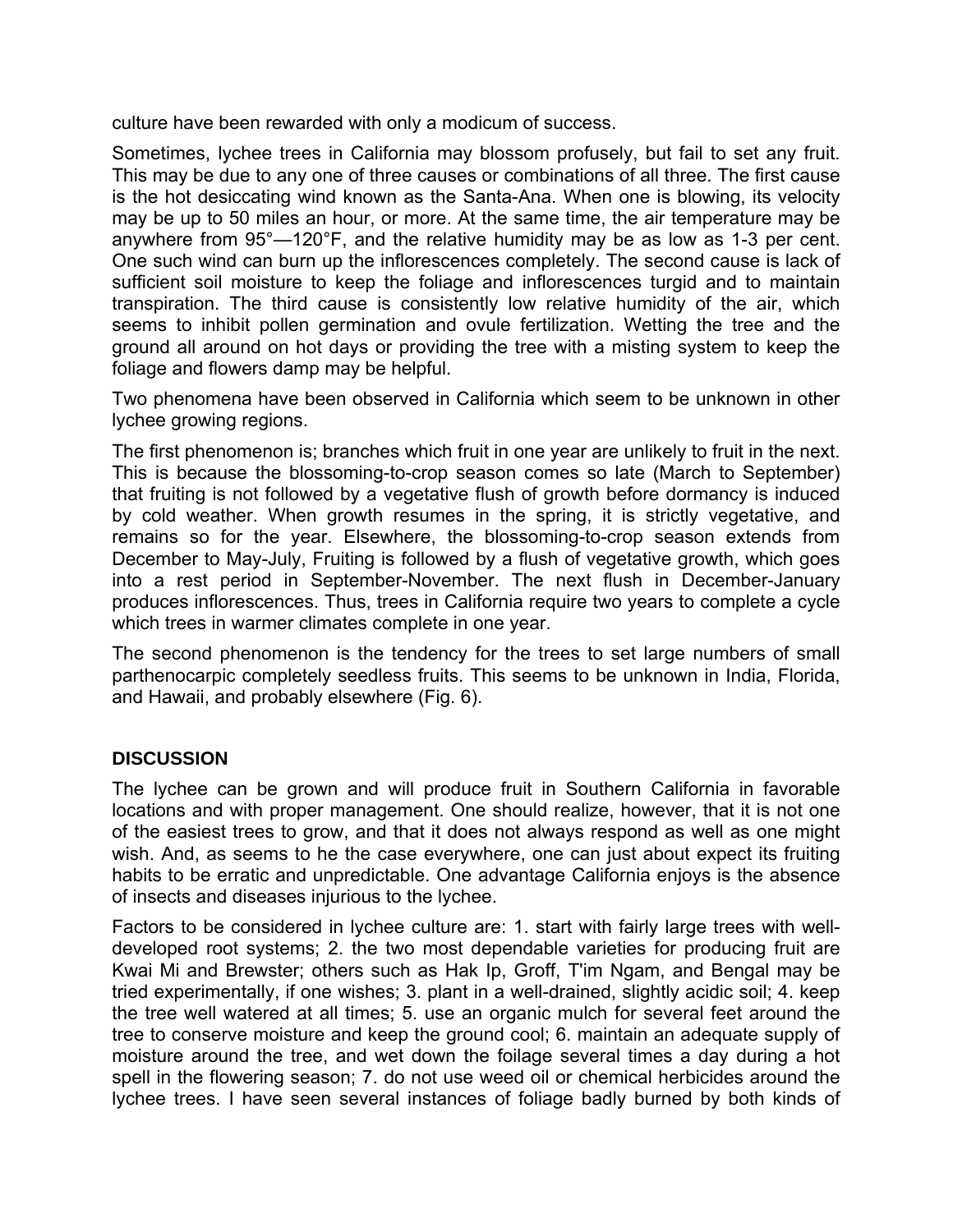culture have been rewarded with only a modicum of success.

Sometimes, lychee trees in California may blossom profusely, but fail to set any fruit. This may be due to any one of three causes or combinations of all three. The first cause is the hot desiccating wind known as the Santa-Ana. When one is blowing, its velocity may be up to 50 miles an hour, or more. At the same time, the air temperature may be anywhere from 95°—120°F, and the relative humidity may be as low as 1-3 per cent. One such wind can burn up the inflorescences completely. The second cause is lack of sufficient soil moisture to keep the foliage and inflorescences turgid and to maintain transpiration. The third cause is consistently low relative humidity of the air, which seems to inhibit pollen germination and ovule fertilization. Wetting the tree and the ground all around on hot days or providing the tree with a misting system to keep the foliage and flowers damp may be helpful.

Two phenomena have been observed in California which seem to be unknown in other lychee growing regions.

The first phenomenon is; branches which fruit in one year are unlikely to fruit in the next. This is because the blossoming-to-crop season comes so late (March to September) that fruiting is not followed by a vegetative flush of growth before dormancy is induced by cold weather. When growth resumes in the spring, it is strictly vegetative, and remains so for the year. Elsewhere, the blossoming-to-crop season extends from December to May-July, Fruiting is followed by a flush of vegetative growth, which goes into a rest period in September-November. The next flush in December-January produces inflorescences. Thus, trees in California require two years to complete a cycle which trees in warmer climates complete in one year.

The second phenomenon is the tendency for the trees to set large numbers of small parthenocarpic completely seedless fruits. This seems to be unknown in India, Florida, and Hawaii, and probably elsewhere (Fig. 6).

## **DISCUSSION**

The lychee can be grown and will produce fruit in Southern California in favorable locations and with proper management. One should realize, however, that it is not one of the easiest trees to grow, and that it does not always respond as well as one might wish. And, as seems to he the case everywhere, one can just about expect its fruiting habits to be erratic and unpredictable. One advantage California enjoys is the absence of insects and diseases injurious to the lychee.

Factors to be considered in lychee culture are: 1. start with fairly large trees with welldeveloped root systems; 2. the two most dependable varieties for producing fruit are Kwai Mi and Brewster; others such as Hak Ip, Groff, T'im Ngam, and Bengal may be tried experimentally, if one wishes; 3. plant in a well-drained, slightly acidic soil; 4. keep the tree well watered at all times; 5. use an organic mulch for several feet around the tree to conserve moisture and keep the ground cool; 6. maintain an adequate supply of moisture around the tree, and wet down the foilage several times a day during a hot spell in the flowering season; 7. do not use weed oil or chemical herbicides around the lychee trees. I have seen several instances of foliage badly burned by both kinds of